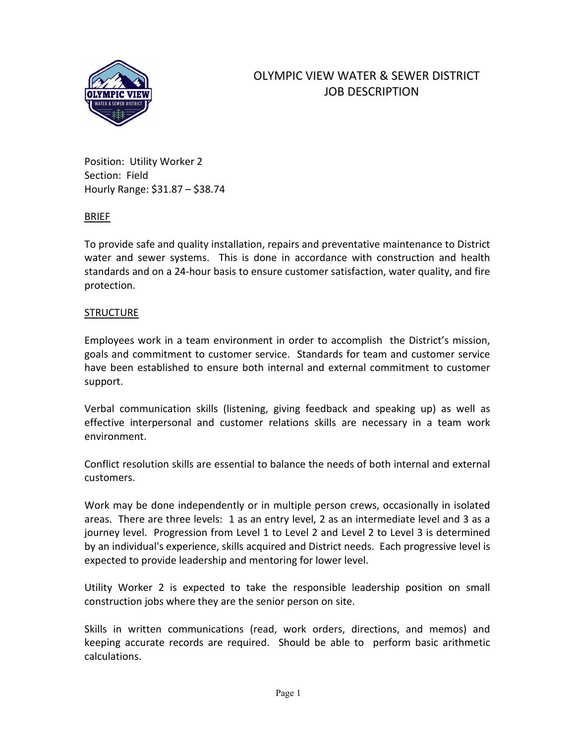

# OLYMPIC VIEW WATER & SEWER DISTRICT JOB DESCRIPTION

Position: Utility Worker 2 Section: Field Hourly Range: \$31.87 – \$38.74

#### BRIEF

To provide safe and quality installation, repairs and preventative maintenance to District water and sewer systems. This is done in accordance with construction and health standards and on a 24-hour basis to ensure customer satisfaction, water quality, and fire protection.

#### **STRUCTURE**

Employees work in a team environment in order to accomplish the District's mission, goals and commitment to customer service. Standards for team and customer service have been established to ensure both internal and external commitment to customer support.

Verbal communication skills (listening, giving feedback and speaking up) as well as effective interpersonal and customer relations skills are necessary in a team work environment.

Conflict resolution skills are essential to balance the needs of both internal and external customers.

Work may be done independently or in multiple person crews, occasionally in isolated areas. There are three levels: 1 as an entry level, 2 as an intermediate level and 3 as a journey level. Progression from Level 1 to Level 2 and Level 2 to Level 3 is determined by an individual's experience, skills acquired and District needs. Each progressive level is expected to provide leadership and mentoring for lower level.

Utility Worker 2 is expected to take the responsible leadership position on small construction jobs where they are the senior person on site.

Skills in written communications (read, work orders, directions, and memos) and keeping accurate records are required. Should be able to perform basic arithmetic calculations.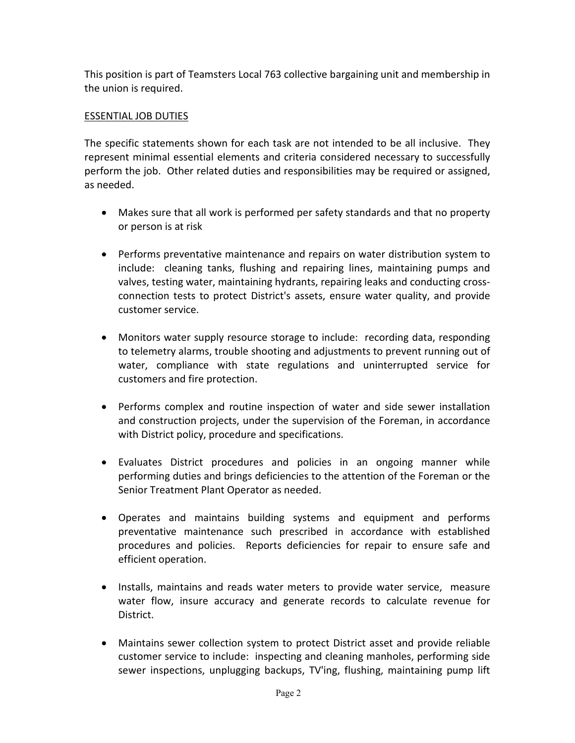This position is part of Teamsters Local 763 collective bargaining unit and membership in the union is required.

# ESSENTIAL JOB DUTIES

The specific statements shown for each task are not intended to be all inclusive. They represent minimal essential elements and criteria considered necessary to successfully perform the job. Other related duties and responsibilities may be required or assigned, as needed.

- Makes sure that all work is performed per safety standards and that no property or person is at risk
- Performs preventative maintenance and repairs on water distribution system to include: cleaning tanks, flushing and repairing lines, maintaining pumps and valves, testing water, maintaining hydrants, repairing leaks and conducting crossconnection tests to protect District's assets, ensure water quality, and provide customer service.
- Monitors water supply resource storage to include: recording data, responding to telemetry alarms, trouble shooting and adjustments to prevent running out of water, compliance with state regulations and uninterrupted service for customers and fire protection.
- Performs complex and routine inspection of water and side sewer installation and construction projects, under the supervision of the Foreman, in accordance with District policy, procedure and specifications.
- Evaluates District procedures and policies in an ongoing manner while performing duties and brings deficiencies to the attention of the Foreman or the Senior Treatment Plant Operator as needed.
- Operates and maintains building systems and equipment and performs preventative maintenance such prescribed in accordance with established procedures and policies. Reports deficiencies for repair to ensure safe and efficient operation.
- Installs, maintains and reads water meters to provide water service, measure water flow, insure accuracy and generate records to calculate revenue for District.
- Maintains sewer collection system to protect District asset and provide reliable customer service to include: inspecting and cleaning manholes, performing side sewer inspections, unplugging backups, TV'ing, flushing, maintaining pump lift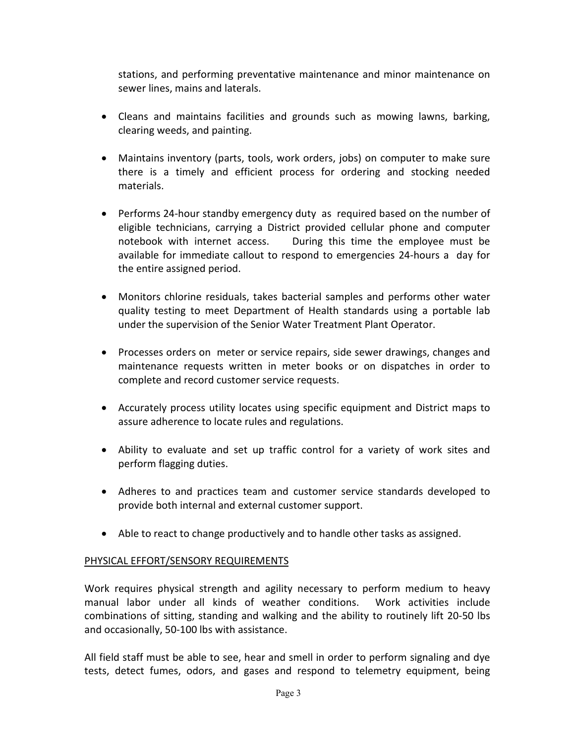stations, and performing preventative maintenance and minor maintenance on sewer lines, mains and laterals.

- Cleans and maintains facilities and grounds such as mowing lawns, barking, clearing weeds, and painting.
- Maintains inventory (parts, tools, work orders, jobs) on computer to make sure there is a timely and efficient process for ordering and stocking needed materials.
- Performs 24-hour standby emergency duty as required based on the number of eligible technicians, carrying a District provided cellular phone and computer notebook with internet access. During this time the employee must be available for immediate callout to respond to emergencies 24-hours a day for the entire assigned period.
- Monitors chlorine residuals, takes bacterial samples and performs other water quality testing to meet Department of Health standards using a portable lab under the supervision of the Senior Water Treatment Plant Operator.
- Processes orders on meter or service repairs, side sewer drawings, changes and maintenance requests written in meter books or on dispatches in order to complete and record customer service requests.
- Accurately process utility locates using specific equipment and District maps to assure adherence to locate rules and regulations.
- Ability to evaluate and set up traffic control for a variety of work sites and perform flagging duties.
- Adheres to and practices team and customer service standards developed to provide both internal and external customer support.
- Able to react to change productively and to handle other tasks as assigned.

# PHYSICAL EFFORT/SENSORY REQUIREMENTS

Work requires physical strength and agility necessary to perform medium to heavy manual labor under all kinds of weather conditions. Work activities include combinations of sitting, standing and walking and the ability to routinely lift 20-50 lbs and occasionally, 50-100 lbs with assistance.

All field staff must be able to see, hear and smell in order to perform signaling and dye tests, detect fumes, odors, and gases and respond to telemetry equipment, being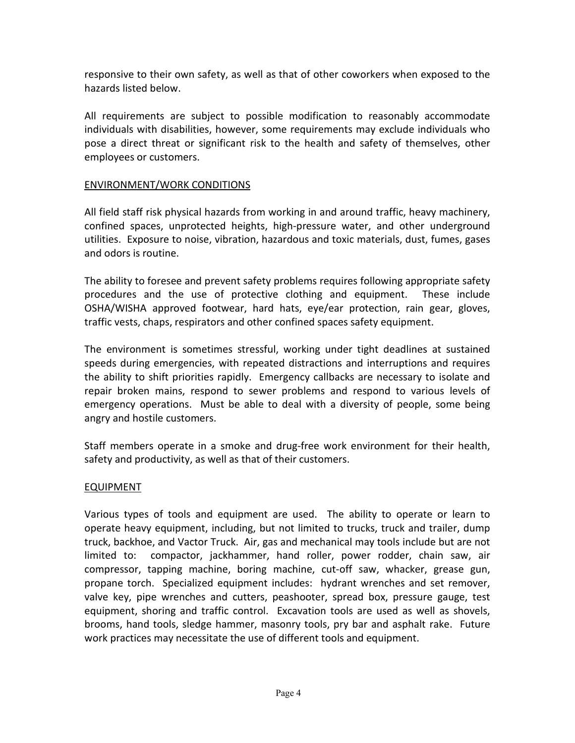responsive to their own safety, as well as that of other coworkers when exposed to the hazards listed below.

All requirements are subject to possible modification to reasonably accommodate individuals with disabilities, however, some requirements may exclude individuals who pose a direct threat or significant risk to the health and safety of themselves, other employees or customers.

# ENVIRONMENT/WORK CONDITIONS

All field staff risk physical hazards from working in and around traffic, heavy machinery, confined spaces, unprotected heights, high-pressure water, and other underground utilities. Exposure to noise, vibration, hazardous and toxic materials, dust, fumes, gases and odors is routine.

The ability to foresee and prevent safety problems requires following appropriate safety procedures and the use of protective clothing and equipment. These include OSHA/WISHA approved footwear, hard hats, eye/ear protection, rain gear, gloves, traffic vests, chaps, respirators and other confined spaces safety equipment.

The environment is sometimes stressful, working under tight deadlines at sustained speeds during emergencies, with repeated distractions and interruptions and requires the ability to shift priorities rapidly. Emergency callbacks are necessary to isolate and repair broken mains, respond to sewer problems and respond to various levels of emergency operations. Must be able to deal with a diversity of people, some being angry and hostile customers.

Staff members operate in a smoke and drug-free work environment for their health, safety and productivity, as well as that of their customers.

# EQUIPMENT

Various types of tools and equipment are used. The ability to operate or learn to operate heavy equipment, including, but not limited to trucks, truck and trailer, dump truck, backhoe, and Vactor Truck. Air, gas and mechanical may tools include but are not limited to: compactor, jackhammer, hand roller, power rodder, chain saw, air compressor, tapping machine, boring machine, cut-off saw, whacker, grease gun, propane torch. Specialized equipment includes: hydrant wrenches and set remover, valve key, pipe wrenches and cutters, peashooter, spread box, pressure gauge, test equipment, shoring and traffic control. Excavation tools are used as well as shovels, brooms, hand tools, sledge hammer, masonry tools, pry bar and asphalt rake. Future work practices may necessitate the use of different tools and equipment.